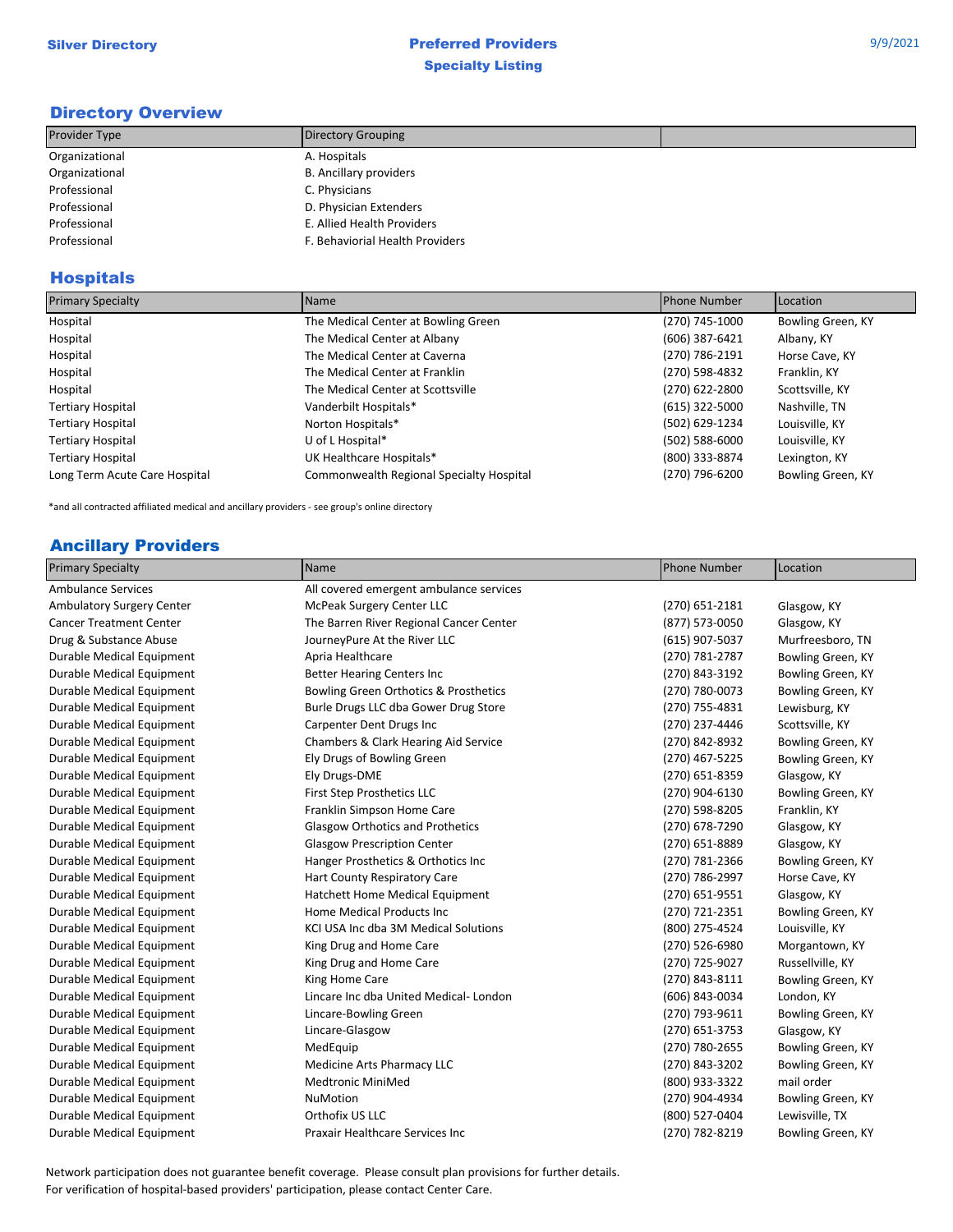## Directory Overview

| Provider Type  | Directory Grouping              |  |
|----------------|---------------------------------|--|
| Organizational | A. Hospitals                    |  |
| Organizational | <b>B.</b> Ancillary providers   |  |
| Professional   | C. Physicians                   |  |
| Professional   | D. Physician Extenders          |  |
| Professional   | E. Allied Health Providers      |  |
| Professional   | F. Behaviorial Health Providers |  |

## Hospitals

| <b>Primary Specialty</b>      | Name                                     | Phone Number   | Location          |
|-------------------------------|------------------------------------------|----------------|-------------------|
| Hospital                      | The Medical Center at Bowling Green      | (270) 745-1000 | Bowling Green, KY |
| Hospital                      | The Medical Center at Albany             | (606) 387-6421 | Albany, KY        |
| Hospital                      | The Medical Center at Caverna            | (270) 786-2191 | Horse Cave, KY    |
| Hospital                      | The Medical Center at Franklin           | (270) 598-4832 | Franklin, KY      |
| Hospital                      | The Medical Center at Scottsville        | (270) 622-2800 | Scottsville, KY   |
| <b>Tertiary Hospital</b>      | Vanderbilt Hospitals*                    | (615) 322-5000 | Nashville, TN     |
| <b>Tertiary Hospital</b>      | Norton Hospitals*                        | (502) 629-1234 | Louisville, KY    |
| <b>Tertiary Hospital</b>      | U of L Hospital*                         | (502) 588-6000 | Louisville, KY    |
| <b>Tertiary Hospital</b>      | UK Healthcare Hospitals*                 | (800) 333-8874 | Lexington, KY     |
| Long Term Acute Care Hospital | Commonwealth Regional Specialty Hospital | (270) 796-6200 | Bowling Green, KY |

\*and all contracted affiliated medical and ancillary providers - see group's online directory

## Ancillary Providers

| <b>Primary Specialty</b>       | Name                                    | <b>Phone Number</b> | Location          |
|--------------------------------|-----------------------------------------|---------------------|-------------------|
| <b>Ambulance Services</b>      | All covered emergent ambulance services |                     |                   |
| Ambulatory Surgery Center      | McPeak Surgery Center LLC               | $(270)$ 651-2181    | Glasgow, KY       |
| <b>Cancer Treatment Center</b> | The Barren River Regional Cancer Center | (877) 573-0050      | Glasgow, KY       |
| Drug & Substance Abuse         | JourneyPure At the River LLC            | (615) 907-5037      | Murfreesboro, TN  |
| Durable Medical Equipment      | Apria Healthcare                        | (270) 781-2787      | Bowling Green, KY |
| Durable Medical Equipment      | <b>Better Hearing Centers Inc</b>       | (270) 843-3192      | Bowling Green, KY |
| Durable Medical Equipment      | Bowling Green Orthotics & Prosthetics   | (270) 780-0073      | Bowling Green, KY |
| Durable Medical Equipment      | Burle Drugs LLC dba Gower Drug Store    | (270) 755-4831      | Lewisburg, KY     |
| Durable Medical Equipment      | Carpenter Dent Drugs Inc                | (270) 237-4446      | Scottsville, KY   |
| Durable Medical Equipment      | Chambers & Clark Hearing Aid Service    | (270) 842-8932      | Bowling Green, KY |
| Durable Medical Equipment      | Ely Drugs of Bowling Green              | (270) 467-5225      | Bowling Green, KY |
| Durable Medical Equipment      | Ely Drugs-DME                           | (270) 651-8359      | Glasgow, KY       |
| Durable Medical Equipment      | First Step Prosthetics LLC              | (270) 904-6130      | Bowling Green, KY |
| Durable Medical Equipment      | Franklin Simpson Home Care              | (270) 598-8205      | Franklin, KY      |
| Durable Medical Equipment      | <b>Glasgow Orthotics and Prothetics</b> | (270) 678-7290      | Glasgow, KY       |
| Durable Medical Equipment      | <b>Glasgow Prescription Center</b>      | (270) 651-8889      | Glasgow, KY       |
| Durable Medical Equipment      | Hanger Prosthetics & Orthotics Inc      | (270) 781-2366      | Bowling Green, KY |
| Durable Medical Equipment      | Hart County Respiratory Care            | (270) 786-2997      | Horse Cave, KY    |
| Durable Medical Equipment      | Hatchett Home Medical Equipment         | (270) 651-9551      | Glasgow, KY       |
| Durable Medical Equipment      | Home Medical Products Inc               | (270) 721-2351      | Bowling Green, KY |
| Durable Medical Equipment      | KCI USA Inc dba 3M Medical Solutions    | (800) 275-4524      | Louisville, KY    |
| Durable Medical Equipment      | King Drug and Home Care                 | (270) 526-6980      | Morgantown, KY    |
| Durable Medical Equipment      | King Drug and Home Care                 | (270) 725-9027      | Russellville, KY  |
| Durable Medical Equipment      | King Home Care                          | (270) 843-8111      | Bowling Green, KY |
| Durable Medical Equipment      | Lincare Inc dba United Medical-London   | (606) 843-0034      | London, KY        |
| Durable Medical Equipment      | Lincare-Bowling Green                   | (270) 793-9611      | Bowling Green, KY |
| Durable Medical Equipment      | Lincare-Glasgow                         | (270) 651-3753      | Glasgow, KY       |
| Durable Medical Equipment      | MedEquip                                | (270) 780-2655      | Bowling Green, KY |
| Durable Medical Equipment      | Medicine Arts Pharmacy LLC              | (270) 843-3202      | Bowling Green, KY |
| Durable Medical Equipment      | <b>Medtronic MiniMed</b>                | (800) 933-3322      | mail order        |
| Durable Medical Equipment      | <b>NuMotion</b>                         | (270) 904-4934      | Bowling Green, KY |
| Durable Medical Equipment      | Orthofix US LLC                         | (800) 527-0404      | Lewisville, TX    |
| Durable Medical Equipment      | <b>Praxair Healthcare Services Inc</b>  | (270) 782-8219      | Bowling Green, KY |

Network participation does not guarantee benefit coverage. Please consult plan provisions for further details. For verification of hospital-based providers' participation, please contact Center Care.